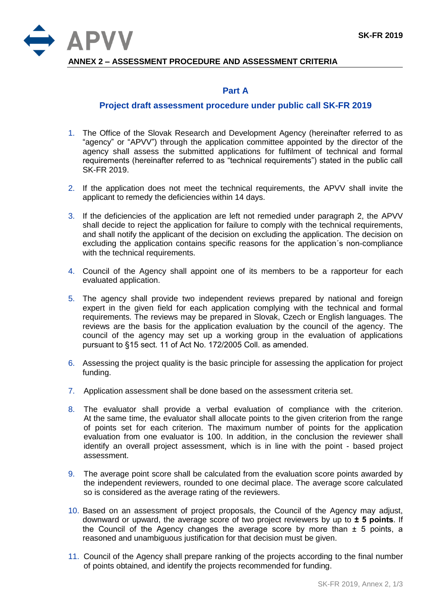

**ANNEX 2 – ASSESSMENT PROCEDURE AND ASSESSMENT CRITERIA**

## **Part A**

## **Project draft assessment procedure under public call SK-FR 2019**

- 1. The Office of the Slovak Research and Development Agency (hereinafter referred to as "agency" or "APVV") through the application committee appointed by the director of the agency shall assess the submitted applications for fulfilment of technical and formal requirements (hereinafter referred to as "technical requirements") stated in the public call SK-FR 2019.
- 2. If the application does not meet the technical requirements, the APVV shall invite the applicant to remedy the deficiencies within 14 days.
- 3. If the deficiencies of the application are left not remedied under paragraph 2, the APVV shall decide to reject the application for failure to comply with the technical requirements, and shall notify the applicant of the decision on excluding the application. The decision on excluding the application contains specific reasons for the application´s non-compliance with the technical requirements.
- 4. Council of the Agency shall appoint one of its members to be a rapporteur for each evaluated application.
- 5. The agency shall provide two independent reviews prepared by national and foreign expert in the given field for each application complying with the technical and formal requirements. The reviews may be prepared in Slovak, Czech or English languages. The reviews are the basis for the application evaluation by the council of the agency. The council of the agency may set up a working group in the evaluation of applications pursuant to §15 sect. 11 of Act No. 172/2005 Coll. as amended.
- 6. Assessing the project quality is the basic principle for assessing the application for project funding.
- 7. Application assessment shall be done based on the assessment criteria set.
- 8. The evaluator shall provide a verbal evaluation of compliance with the criterion. At the same time, the evaluator shall allocate points to the given criterion from the range of points set for each criterion. The maximum number of points for the application evaluation from one evaluator is 100. In addition, in the conclusion the reviewer shall identify an overall project assessment, which is in line with the point - based project assessment.
- 9. The average point score shall be calculated from the evaluation score points awarded by the independent reviewers, rounded to one decimal place. The average score calculated so is considered as the average rating of the reviewers.
- 10. Based on an assessment of project proposals, the Council of the Agency may adjust, downward or upward, the average score of two project reviewers by up to **± 5 points**. If the Council of the Agency changes the average score by more than  $\pm$  5 points, a reasoned and unambiguous justification for that decision must be given.
- 11. Council of the Agency shall prepare ranking of the projects according to the final number of points obtained, and identify the projects recommended for funding.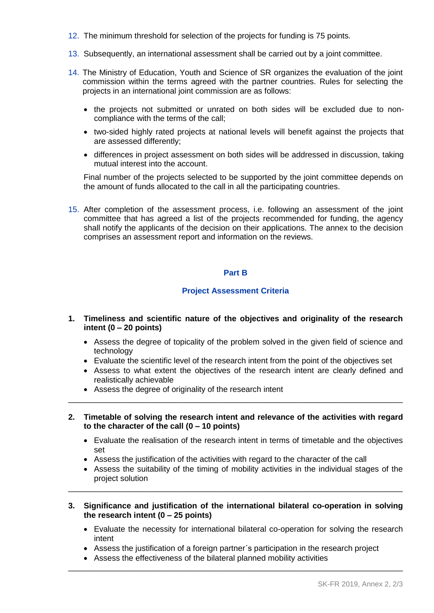- 12. The minimum threshold for selection of the projects for funding is 75 points.
- 13. Subsequently, an international assessment shall be carried out by a joint committee.
- 14. The Ministry of Education, Youth and Science of SR organizes the evaluation of the joint commission within the terms agreed with the partner countries. Rules for selecting the projects in an international joint commission are as follows:
	- the projects not submitted or unrated on both sides will be excluded due to noncompliance with the terms of the call;
	- two-sided highly rated projects at national levels will benefit against the projects that are assessed differently;
	- differences in project assessment on both sides will be addressed in discussion, taking mutual interest into the account.

Final number of the projects selected to be supported by the joint committee depends on the amount of funds allocated to the call in all the participating countries.

15. After completion of the assessment process, i.e. following an assessment of the joint committee that has agreed a list of the projects recommended for funding, the agency shall notify the applicants of the decision on their applications. The annex to the decision comprises an assessment report and information on the reviews.

## **Part B**

## **Project Assessment Criteria**

- **1. Timeliness and scientific nature of the objectives and originality of the research intent (0 – 20 points)**
	- Assess the degree of topicality of the problem solved in the given field of science and technology
	- Evaluate the scientific level of the research intent from the point of the objectives set
	- Assess to what extent the objectives of the research intent are clearly defined and realistically achievable
	- Assess the degree of originality of the research intent
- **2. Timetable of solving the research intent and relevance of the activities with regard to the character of the call (0 – 10 points)**

\_\_\_\_\_\_\_\_\_\_\_\_\_\_\_\_\_\_\_\_\_\_\_\_\_\_\_\_\_\_\_\_\_\_\_\_\_\_\_\_\_\_\_\_\_\_\_\_\_\_\_\_\_\_\_\_\_\_\_\_\_\_\_\_\_\_\_\_\_\_\_\_\_\_\_

- Evaluate the realisation of the research intent in terms of timetable and the objectives set
- Assess the justification of the activities with regard to the character of the call
- Assess the suitability of the timing of mobility activities in the individual stages of the project solution
- **3. Significance and justification of the international bilateral co-operation in solving the research intent (0 – 25 points)**

\_\_\_\_\_\_\_\_\_\_\_\_\_\_\_\_\_\_\_\_\_\_\_\_\_\_\_\_\_\_\_\_\_\_\_\_\_\_\_\_\_\_\_\_\_\_\_\_\_\_\_\_\_\_\_\_\_\_\_\_\_\_\_\_\_\_\_\_\_\_\_\_\_\_\_

- Evaluate the necessity for international bilateral co-operation for solving the research intent
- Assess the justification of a foreign partner´s participation in the research project

\_\_\_\_\_\_\_\_\_\_\_\_\_\_\_\_\_\_\_\_\_\_\_\_\_\_\_\_\_\_\_\_\_\_\_\_\_\_\_\_\_\_\_\_\_\_\_\_\_\_\_\_\_\_\_\_\_\_\_\_\_\_\_\_\_\_\_\_\_\_\_\_\_\_\_

Assess the effectiveness of the bilateral planned mobility activities